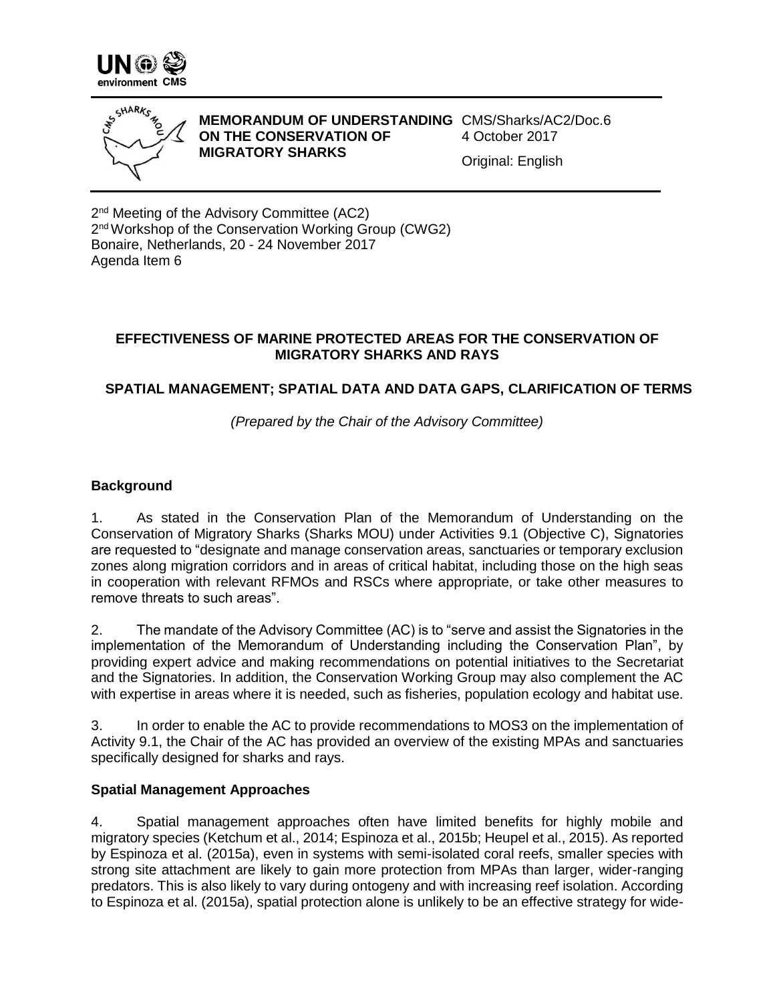



**MEMORANDUM OF UNDERSTANDING**  CMS/Sharks/AC2/Doc.6 **ON THE CONSERVATION OF MIGRATORY SHARKS**  4 October 2017 Original: English

2<sup>nd</sup> Meeting of the Advisory Committee (AC2) 2<sup>nd</sup> Workshop of the Conservation Working Group (CWG2) Bonaire, Netherlands, 20 - 24 November 2017 Agenda Item 6

## **EFFECTIVENESS OF MARINE PROTECTED AREAS FOR THE CONSERVATION OF MIGRATORY SHARKS AND RAYS**

# **SPATIAL MANAGEMENT; SPATIAL DATA AND DATA GAPS, CLARIFICATION OF TERMS**

*(Prepared by the Chair of the Advisory Committee)*

## **Background**

1. As stated in the Conservation Plan of the Memorandum of Understanding on the Conservation of Migratory Sharks (Sharks MOU) under Activities 9.1 (Objective C), Signatories are requested to "designate and manage conservation areas, sanctuaries or temporary exclusion zones along migration corridors and in areas of critical habitat, including those on the high seas in cooperation with relevant RFMOs and RSCs where appropriate, or take other measures to remove threats to such areas".

2. The mandate of the Advisory Committee (AC) is to "serve and assist the Signatories in the implementation of the Memorandum of Understanding including the Conservation Plan", by providing expert advice and making recommendations on potential initiatives to the Secretariat and the Signatories. In addition, the Conservation Working Group may also complement the AC with expertise in areas where it is needed, such as fisheries, population ecology and habitat use.

3. In order to enable the AC to provide recommendations to MOS3 on the implementation of Activity 9.1, the Chair of the AC has provided an overview of the existing MPAs and sanctuaries specifically designed for sharks and rays.

#### **Spatial Management Approaches**

4. Spatial management approaches often have limited benefits for highly mobile and migratory species (Ketchum et al., 2014; Espinoza et al., 2015b; Heupel et al., 2015). As reported by Espinoza et al. (2015a), even in systems with semi-isolated coral reefs, smaller species with strong site attachment are likely to gain more protection from MPAs than larger, wider-ranging predators. This is also likely to vary during ontogeny and with increasing reef isolation. According to Espinoza et al. (2015a), spatial protection alone is unlikely to be an effective strategy for wide-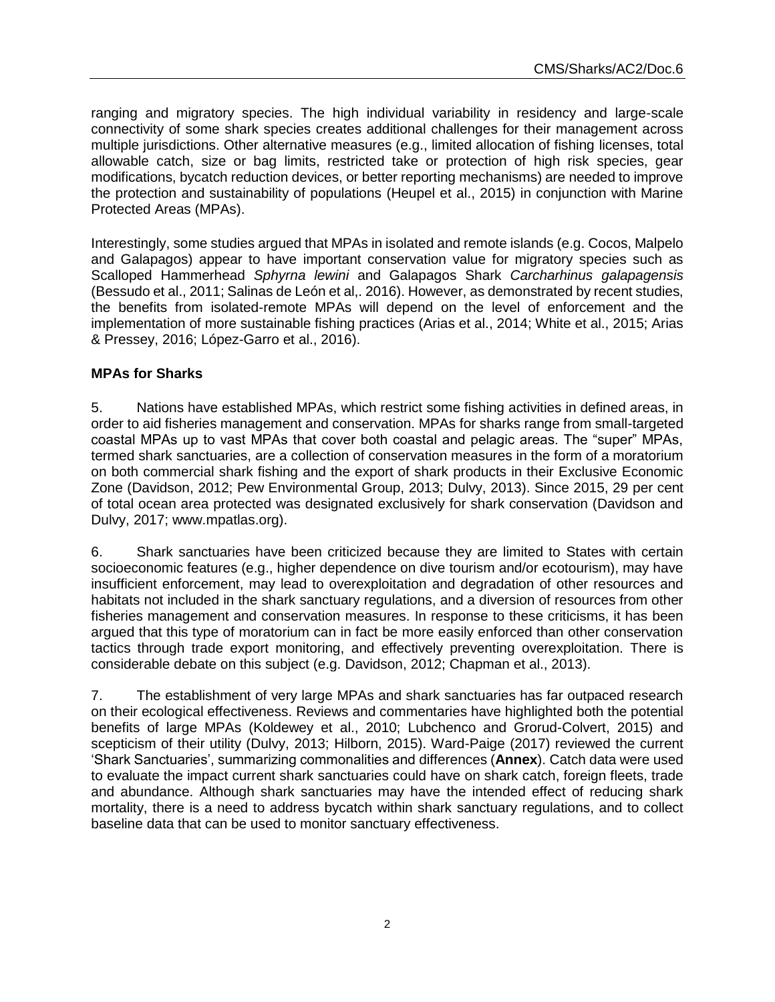ranging and migratory species. The high individual variability in residency and large-scale connectivity of some shark species creates additional challenges for their management across multiple jurisdictions. Other alternative measures (e.g., limited allocation of fishing licenses, total allowable catch, size or bag limits, restricted take or protection of high risk species, gear modifications, bycatch reduction devices, or better reporting mechanisms) are needed to improve the protection and sustainability of populations (Heupel et al., 2015) in conjunction with Marine Protected Areas (MPAs).

Interestingly, some studies argued that MPAs in isolated and remote islands (e.g. Cocos, Malpelo and Galapagos) appear to have important conservation value for migratory species such as Scalloped Hammerhead *Sphyrna lewini* and Galapagos Shark *Carcharhinus galapagensis* (Bessudo et al., 2011; Salinas de León et al,. 2016). However, as demonstrated by recent studies, the benefits from isolated-remote MPAs will depend on the level of enforcement and the implementation of more sustainable fishing practices (Arias et al., 2014; White et al., 2015; Arias & Pressey, 2016; López-Garro et al., 2016).

## **MPAs for Sharks**

5. Nations have established MPAs, which restrict some fishing activities in defined areas, in order to aid fisheries management and conservation. MPAs for sharks range from small-targeted coastal MPAs up to vast MPAs that cover both coastal and pelagic areas. The "super" MPAs, termed shark sanctuaries, are a collection of conservation measures in the form of a moratorium on both commercial shark fishing and the export of shark products in their Exclusive Economic Zone (Davidson, 2012; Pew Environmental Group, 2013; Dulvy, 2013). Since 2015, 29 per cent of total ocean area protected was designated exclusively for shark conservation (Davidson and Dulvy, 2017; www.mpatlas.org).

6. Shark sanctuaries have been criticized because they are limited to States with certain socioeconomic features (e.g., higher dependence on dive tourism and/or ecotourism), may have insufficient enforcement, may lead to overexploitation and degradation of other resources and habitats not included in the shark sanctuary regulations, and a diversion of resources from other fisheries management and conservation measures. In response to these criticisms, it has been argued that this type of moratorium can in fact be more easily enforced than other conservation tactics through trade export monitoring, and effectively preventing overexploitation. There is considerable debate on this subject (e.g. Davidson, 2012; Chapman et al., 2013).

7. The establishment of very large MPAs and shark sanctuaries has far outpaced research on their ecological effectiveness. Reviews and commentaries have highlighted both the potential benefits of large MPAs (Koldewey et al., 2010; Lubchenco and Grorud-Colvert, 2015) and scepticism of their utility (Dulvy, 2013; Hilborn, 2015). Ward-Paige (2017) reviewed the current 'Shark Sanctuaries', summarizing commonalities and differences (**Annex**). Catch data were used to evaluate the impact current shark sanctuaries could have on shark catch, foreign fleets, trade and abundance. Although shark sanctuaries may have the intended effect of reducing shark mortality, there is a need to address bycatch within shark sanctuary regulations, and to collect baseline data that can be used to monitor sanctuary effectiveness.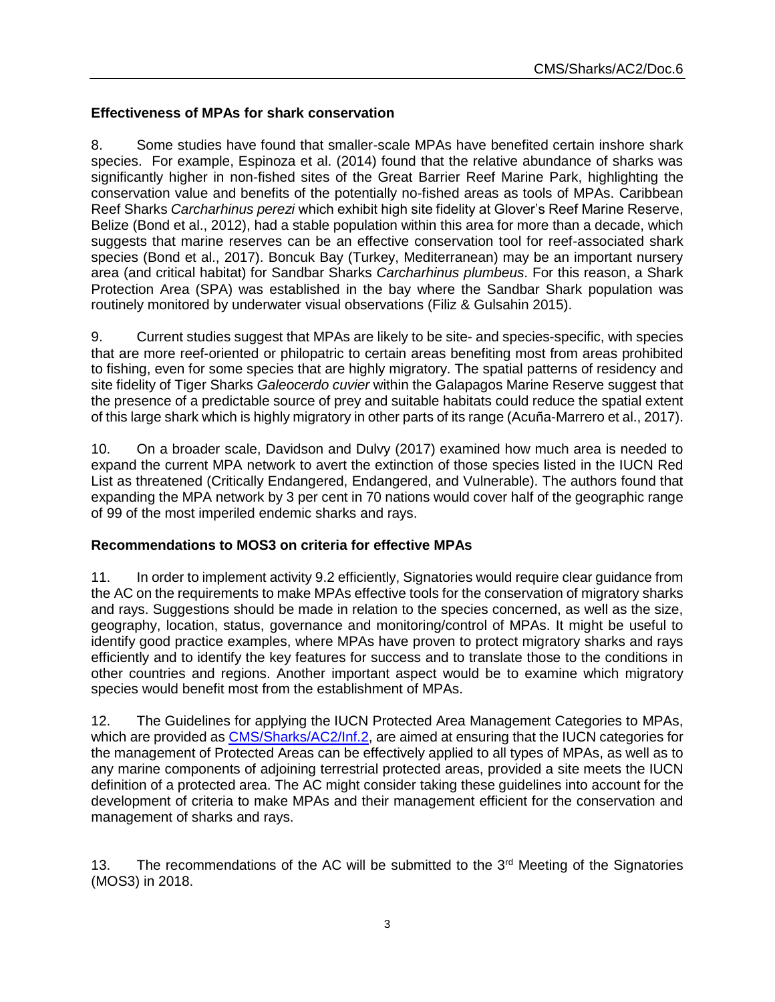### **Effectiveness of MPAs for shark conservation**

8. Some studies have found that smaller-scale MPAs have benefited certain inshore shark species. For example, Espinoza et al. (2014) found that the relative abundance of sharks was significantly higher in non-fished sites of the Great Barrier Reef Marine Park, highlighting the conservation value and benefits of the potentially no-fished areas as tools of MPAs. Caribbean Reef Sharks *Carcharhinus perezi* which exhibit high site fidelity at Glover's Reef Marine Reserve, Belize (Bond et al., 2012), had a stable population within this area for more than a decade, which suggests that marine reserves can be an effective conservation tool for reef-associated shark species (Bond et al., 2017). Boncuk Bay (Turkey, Mediterranean) may be an important nursery area (and critical habitat) for Sandbar Sharks *Carcharhinus plumbeus*. For this reason, a Shark Protection Area (SPA) was established in the bay where the Sandbar Shark population was routinely monitored by underwater visual observations (Filiz & Gulsahin 2015).

9. Current studies suggest that MPAs are likely to be site- and species-specific, with species that are more reef-oriented or philopatric to certain areas benefiting most from areas prohibited to fishing, even for some species that are highly migratory. The spatial patterns of residency and site fidelity of Tiger Sharks *Galeocerdo cuvier* within the Galapagos Marine Reserve suggest that the presence of a predictable source of prey and suitable habitats could reduce the spatial extent of this large shark which is highly migratory in other parts of its range (Acuña-Marrero et al., 2017).

10. On a broader scale, Davidson and Dulvy (2017) examined how much area is needed to expand the current MPA network to avert the extinction of those species listed in the IUCN Red List as threatened (Critically Endangered, Endangered, and Vulnerable). The authors found that expanding the MPA network by 3 per cent in 70 nations would cover half of the geographic range of 99 of the most imperiled endemic sharks and rays.

#### **Recommendations to MOS3 on criteria for effective MPAs**

11. In order to implement activity 9.2 efficiently, Signatories would require clear guidance from the AC on the requirements to make MPAs effective tools for the conservation of migratory sharks and rays. Suggestions should be made in relation to the species concerned, as well as the size, geography, location, status, governance and monitoring/control of MPAs. It might be useful to identify good practice examples, where MPAs have proven to protect migratory sharks and rays efficiently and to identify the key features for success and to translate those to the conditions in other countries and regions. Another important aspect would be to examine which migratory species would benefit most from the establishment of MPAs.

12. The Guidelines for applying the IUCN Protected Area Management Categories to MPAs, which are provided as [CMS/Sharks/AC2/Inf.2,](http://www.cms.int/manage/sharks/sites/default/files/document/uicn_categoriesamp_eng.pdf) are aimed at ensuring that the IUCN categories for the management of Protected Areas can be effectively applied to all types of MPAs, as well as to any marine components of adjoining terrestrial protected areas, provided a site meets the IUCN definition of a protected area. The AC might consider taking these guidelines into account for the development of criteria to make MPAs and their management efficient for the conservation and management of sharks and rays.

13. The recommendations of the AC will be submitted to the  $3<sup>rd</sup>$  Meeting of the Signatories (MOS3) in 2018.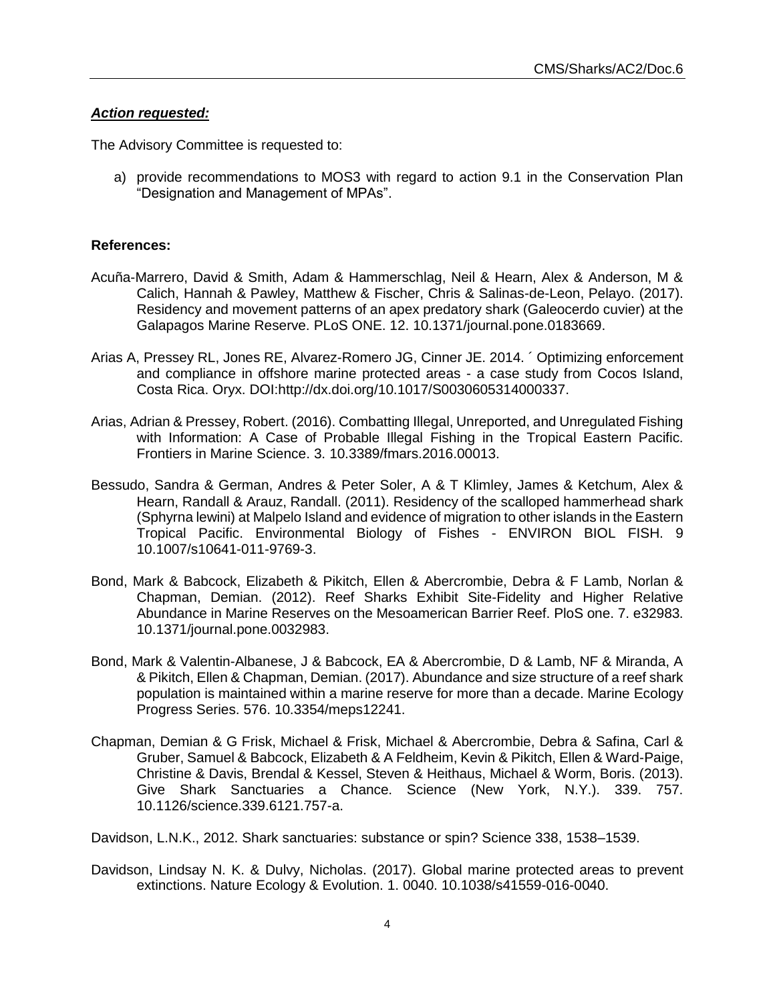#### *Action requested:*

The Advisory Committee is requested to:

a) provide recommendations to MOS3 with regard to action 9.1 in the Conservation Plan "Designation and Management of MPAs".

#### **References:**

- Acuña-Marrero, David & Smith, Adam & Hammerschlag, Neil & Hearn, Alex & Anderson, M & Calich, Hannah & Pawley, Matthew & Fischer, Chris & Salinas-de-Leon, Pelayo. (2017). Residency and movement patterns of an apex predatory shark (Galeocerdo cuvier) at the Galapagos Marine Reserve. PLoS ONE. 12. 10.1371/journal.pone.0183669.
- Arias A, Pressey RL, Jones RE, Alvarez-Romero JG, Cinner JE. 2014. ´ Optimizing enforcement and compliance in offshore marine protected areas - a case study from Cocos Island, Costa Rica. Oryx. DOI:http://dx.doi.org/10.1017/S0030605314000337.
- Arias, Adrian & Pressey, Robert. (2016). Combatting Illegal, Unreported, and Unregulated Fishing with Information: A Case of Probable Illegal Fishing in the Tropical Eastern Pacific. Frontiers in Marine Science. 3. 10.3389/fmars.2016.00013.
- Bessudo, Sandra & German, Andres & Peter Soler, A & T Klimley, James & Ketchum, Alex & Hearn, Randall & Arauz, Randall. (2011). Residency of the scalloped hammerhead shark (Sphyrna lewini) at Malpelo Island and evidence of migration to other islands in the Eastern Tropical Pacific. Environmental Biology of Fishes - ENVIRON BIOL FISH. 9 10.1007/s10641-011-9769-3.
- Bond, Mark & Babcock, Elizabeth & Pikitch, Ellen & Abercrombie, Debra & F Lamb, Norlan & Chapman, Demian. (2012). Reef Sharks Exhibit Site-Fidelity and Higher Relative Abundance in Marine Reserves on the Mesoamerican Barrier Reef. PloS one. 7. e32983. 10.1371/journal.pone.0032983.
- Bond, Mark & Valentin-Albanese, J & Babcock, EA & Abercrombie, D & Lamb, NF & Miranda, A & Pikitch, Ellen & Chapman, Demian. (2017). Abundance and size structure of a reef shark population is maintained within a marine reserve for more than a decade. Marine Ecology Progress Series. 576. 10.3354/meps12241.
- Chapman, Demian & G Frisk, Michael & Frisk, Michael & Abercrombie, Debra & Safina, Carl & Gruber, Samuel & Babcock, Elizabeth & A Feldheim, Kevin & Pikitch, Ellen & Ward-Paige, Christine & Davis, Brendal & Kessel, Steven & Heithaus, Michael & Worm, Boris. (2013). Give Shark Sanctuaries a Chance. Science (New York, N.Y.). 339. 757. 10.1126/science.339.6121.757-a.

Davidson, L.N.K., 2012. Shark sanctuaries: substance or spin? Science 338, 1538–1539.

Davidson, Lindsay N. K. & Dulvy, Nicholas. (2017). Global marine protected areas to prevent extinctions. Nature Ecology & Evolution. 1. 0040. 10.1038/s41559-016-0040.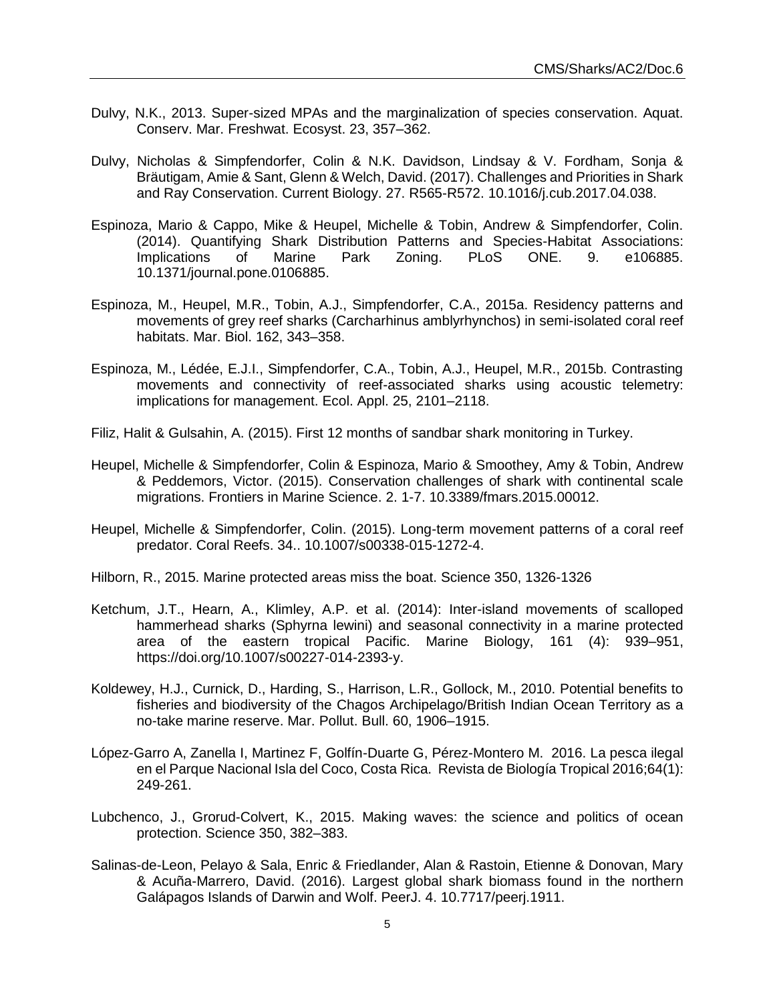- Dulvy, N.K., 2013. Super-sized MPAs and the marginalization of species conservation. Aquat. Conserv. Mar. Freshwat. Ecosyst. 23, 357–362.
- Dulvy, Nicholas & Simpfendorfer, Colin & N.K. Davidson, Lindsay & V. Fordham, Sonja & Bräutigam, Amie & Sant, Glenn & Welch, David. (2017). Challenges and Priorities in Shark and Ray Conservation. Current Biology. 27. R565-R572. 10.1016/j.cub.2017.04.038.
- Espinoza, Mario & Cappo, Mike & Heupel, Michelle & Tobin, Andrew & Simpfendorfer, Colin. (2014). Quantifying Shark Distribution Patterns and Species-Habitat Associations: Implications of Marine Park Zoning. PLoS ONE. 9. e106885. 10.1371/journal.pone.0106885.
- Espinoza, M., Heupel, M.R., Tobin, A.J., Simpfendorfer, C.A., 2015a. Residency patterns and movements of grey reef sharks (Carcharhinus amblyrhynchos) in semi-isolated coral reef habitats. Mar. Biol. 162, 343–358.
- Espinoza, M., Lédée, E.J.I., Simpfendorfer, C.A., Tobin, A.J., Heupel, M.R., 2015b. Contrasting movements and connectivity of reef-associated sharks using acoustic telemetry: implications for management. Ecol. Appl. 25, 2101–2118.
- Filiz, Halit & Gulsahin, A. (2015). First 12 months of sandbar shark monitoring in Turkey.
- Heupel, Michelle & Simpfendorfer, Colin & Espinoza, Mario & Smoothey, Amy & Tobin, Andrew & Peddemors, Victor. (2015). Conservation challenges of shark with continental scale migrations. Frontiers in Marine Science. 2. 1-7. 10.3389/fmars.2015.00012.
- Heupel, Michelle & Simpfendorfer, Colin. (2015). Long-term movement patterns of a coral reef predator. Coral Reefs. 34.. 10.1007/s00338-015-1272-4.
- Hilborn, R., 2015. Marine protected areas miss the boat. Science 350, 1326-1326
- Ketchum, J.T., Hearn, A., Klimley, A.P. et al. (2014): Inter-island movements of scalloped hammerhead sharks (Sphyrna lewini) and seasonal connectivity in a marine protected area of the eastern tropical Pacific. Marine Biology, 161 (4): 939–951, [https://doi.org/10.1007/s00227-014-2393-y.](https://doi.org/10.1007/s00227-014-2393-y)
- Koldewey, H.J., Curnick, D., Harding, S., Harrison, L.R., Gollock, M., 2010. Potential benefits to fisheries and biodiversity of the Chagos Archipelago/British Indian Ocean Territory as a no-take marine reserve. Mar. Pollut. Bull. 60, 1906–1915.
- López-Garro A, Zanella I, Martinez F, Golfín-Duarte G, Pérez-Montero M. 2016. La pesca ilegal en el Parque Nacional Isla del Coco, Costa Rica. Revista de Biología Tropical 2016;64(1): 249-261.
- Lubchenco, J., Grorud-Colvert, K., 2015. Making waves: the science and politics of ocean protection. Science 350, 382–383.
- Salinas-de-Leon, Pelayo & Sala, Enric & Friedlander, Alan & Rastoin, Etienne & Donovan, Mary & Acuña-Marrero, David. (2016). Largest global shark biomass found in the northern Galápagos Islands of Darwin and Wolf. PeerJ. 4. 10.7717/peerj.1911.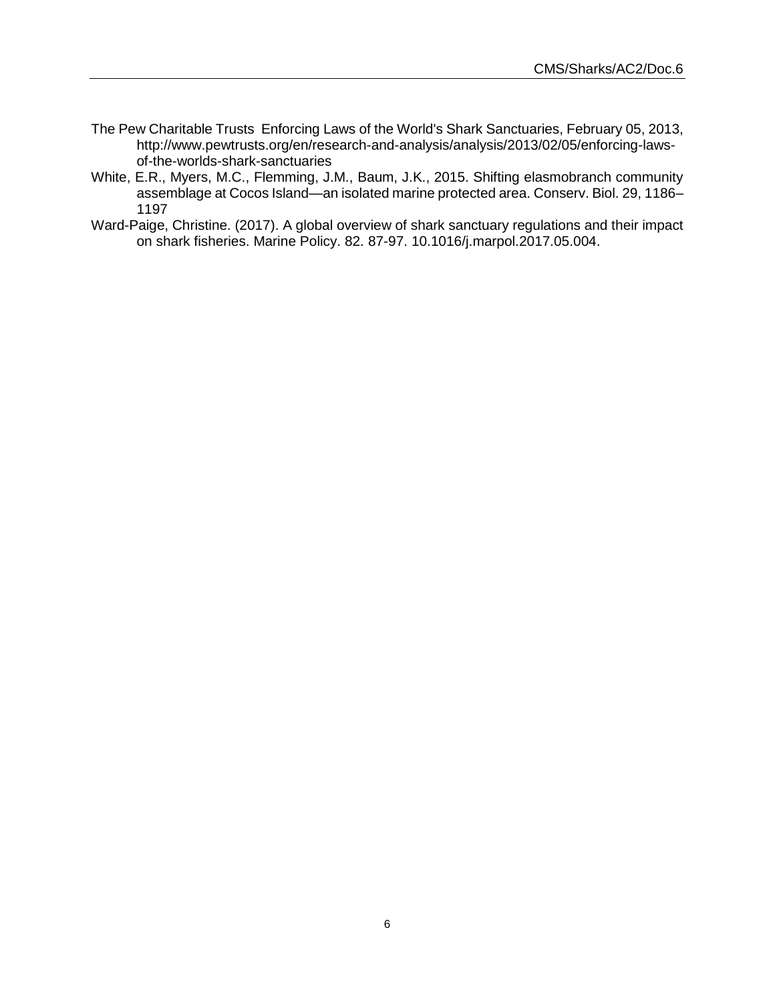- The Pew Charitable Trusts Enforcing Laws of the World's Shark Sanctuaries, February 05, 2013, [http://www.pewtrusts.org/en/research-and-analysis/analysis/2013/02/05/enforcing-laws](http://www.pewtrusts.org/en/research-and-analysis/analysis/2013/02/05/enforcing-laws-of-the-worlds-shark-sanctuaries)[of-the-worlds-shark-sanctuaries](http://www.pewtrusts.org/en/research-and-analysis/analysis/2013/02/05/enforcing-laws-of-the-worlds-shark-sanctuaries)
- White, E.R., Myers, M.C., Flemming, J.M., Baum, J.K., 2015. Shifting elasmobranch community assemblage at Cocos Island—an isolated marine protected area. Conserv. Biol. 29, 1186– 1197
- Ward-Paige, Christine. (2017). A global overview of shark sanctuary regulations and their impact on shark fisheries. Marine Policy. 82. 87-97. 10.1016/j.marpol.2017.05.004.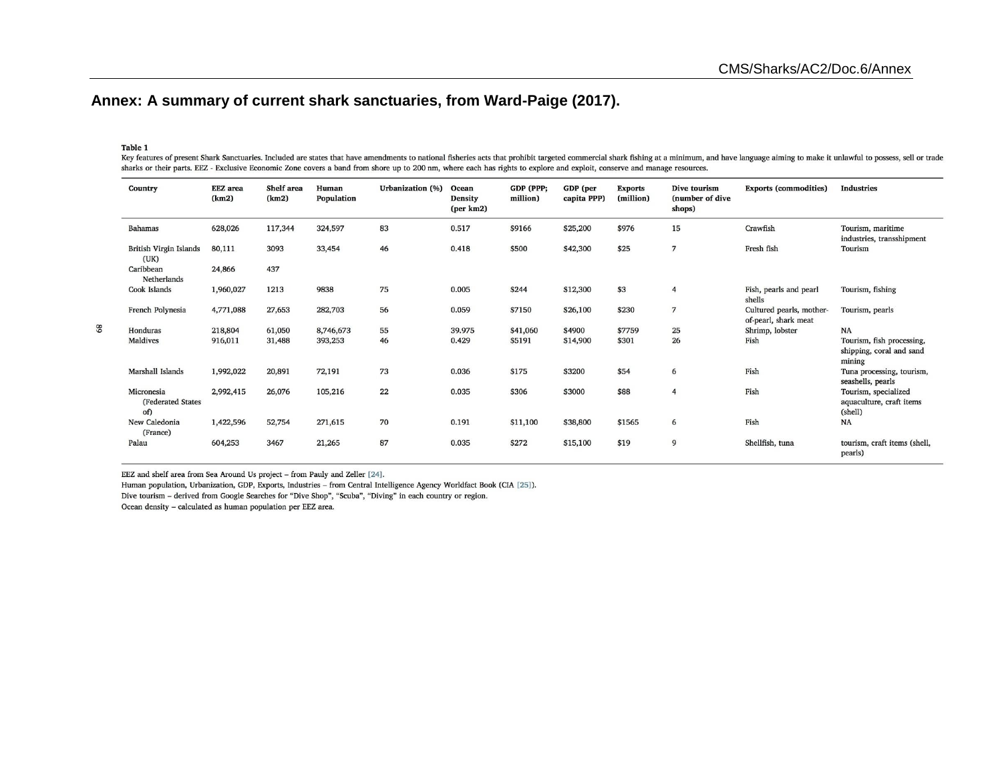# **Annex: A summary of current shark sanctuaries, from Ward-Paige (2017).**

#### Table 1

68

Key features of present Shark Sanctuaries. Included are states that have amendments to national fisheries acts that prohibit targeted commercial shark fishing at a minimum, and have language aiming to make it unlawful to p sharks or their parts. EEZ - Exclusive Economic Zone covers a band from shore up to 200 nm, where each has rights to explore and exploit, conserve and manage resources.

| Country                                | <b>EEZ</b> area<br>(km2) | Shelf area<br>(km2) | Human<br>Population | Urbanization (%) | Ocean<br><b>Density</b><br>${\rm (per\ km2)}$ | GDP (PPP;<br>million) | GDP (per<br>capita PPP) | <b>Exports</b><br>(million) | Dive tourism<br>(number of dive<br>shops) | <b>Exports (commodities)</b>                     | <b>Industries</b>                                               |
|----------------------------------------|--------------------------|---------------------|---------------------|------------------|-----------------------------------------------|-----------------------|-------------------------|-----------------------------|-------------------------------------------|--------------------------------------------------|-----------------------------------------------------------------|
| <b>Bahamas</b>                         | 628,026                  | 117,344             | 324,597             | 83               | 0.517                                         | \$9166                | \$25,200                | \$976                       | 15                                        | Crawfish                                         | Tourism, maritime<br>industries, transshipment                  |
| British Virgin Islands<br>(UK)         | 80,111                   | 3093                | 33,454              | 46               | 0.418                                         | \$500                 | \$42,300                | \$25                        | 7                                         | Fresh fish                                       | Tourism                                                         |
| Caribbean<br>Netherlands               | 24,866                   | 437                 |                     |                  |                                               |                       |                         |                             |                                           |                                                  |                                                                 |
| Cook Islands                           | 1,960,027                | 1213                | 9838                | 75               | 0.005                                         | \$244                 | \$12,300                | \$3                         | $\overline{4}$                            | Fish, pearls and pearl<br>shells                 | Tourism, fishing                                                |
| French Polynesia                       | 4,771,088                | 27,653              | 282,703             | 56               | 0.059                                         | \$7150                | \$26,100                | \$230                       | $\overline{7}$                            | Cultured pearls, mother-<br>of-pearl, shark meat | Tourism, pearls                                                 |
| Honduras                               | 218,804                  | 61,050              | 8,746,673           | 55               | 39.975                                        | \$41,060              | \$4900                  | \$7759                      | 25                                        | Shrimp, lobster                                  | <b>NA</b>                                                       |
| Maldives                               | 916,011                  | 31,488              | 393,253             | 46               | 0.429                                         | \$5191                | \$14,900                | \$301                       | 26                                        | Fish                                             | Tourism, fish processing,<br>shipping, coral and sand<br>mining |
| Marshall Islands                       | 1,992,022                | 20,891              | 72,191              | 73               | 0.036                                         | \$175                 | \$3200                  | \$54                        | 6                                         | Fish                                             | Tuna processing, tourism,<br>seashells, pearls                  |
| Micronesia<br>(Federated States<br>of) | 2,992,415                | 26,076              | 105,216             | 22               | 0.035                                         | \$306                 | \$3000                  | \$88                        | $\overline{4}$                            | Fish                                             | Tourism, specialized<br>aquaculture, craft items<br>(shell)     |
| New Caledonia<br>(France)              | 1,422,596                | 52,754              | 271,615             | 70               | 0.191                                         | \$11,100              | \$38,800                | \$1565                      | 6                                         | Fish                                             | NA                                                              |
| Palau                                  | 604,253                  | 3467                | 21,265              | 87               | 0.035                                         | \$272                 | \$15,100                | \$19                        | 9                                         | Shellfish, tuna                                  | tourism, craft items (shell,<br>pearls)                         |

EEZ and shelf area from Sea Around Us project - from Pauly and Zeller [24].

Human population, Urbanization, GDP, Exports, Industries - from Central Intelligence Agency Worldfact Book (CIA [25]).

Dive tourism - derived from Google Searches for "Dive Shop", "Scuba", "Diving" in each country or region.

Ocean density - calculated as human population per EEZ area.